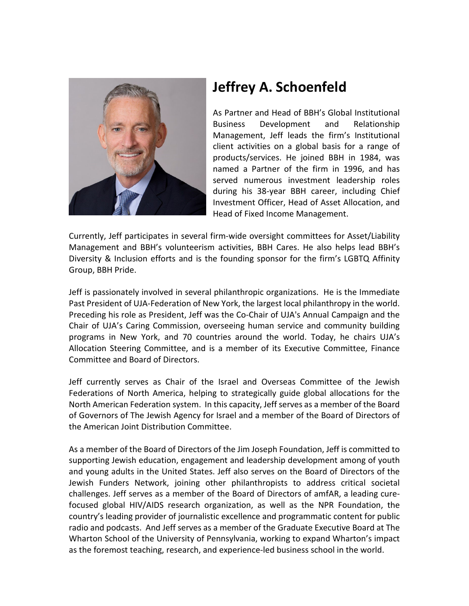

## **Jeffrey A. Schoenfeld**

As Partner and Head of BBH's Global Institutional Business Development and Relationship Management, Jeff leads the firm's Institutional client activities on a global basis for a range of products/services. He joined BBH in 1984, was named a Partner of the firm in 1996, and has served numerous investment leadership roles during his 38-year BBH career, including Chief Investment Officer, Head of Asset Allocation, and Head of Fixed Income Management.

Currently, Jeff participates in several firm-wide oversight committees for Asset/Liability Management and BBH's volunteerism activities, BBH Cares. He also helps lead BBH's Diversity & Inclusion efforts and is the founding sponsor for the firm's LGBTQ Affinity Group, BBH Pride.

Jeff is passionately involved in several philanthropic organizations. He is the Immediate Past President of UJA-Federation of New York, the largest local philanthropy in the world. Preceding his role as President, Jeff was the Co-Chair of UJA's Annual Campaign and the Chair of UJA's Caring Commission, overseeing human service and community building programs in New York, and 70 countries around the world. Today, he chairs UJA's Allocation Steering Committee, and is a member of its Executive Committee, Finance Committee and Board of Directors.

Jeff currently serves as Chair of the Israel and Overseas Committee of the Jewish Federations of North America, helping to strategically guide global allocations for the North American Federation system. In this capacity, Jeff serves as a member of the Board of Governors of The Jewish Agency for Israel and a member of the Board of Directors of the American Joint Distribution Committee.

As a member of the Board of Directors of the Jim Joseph Foundation, Jeff is committed to supporting Jewish education, engagement and leadership development among of youth and young adults in the United States. Jeff also serves on the Board of Directors of the Jewish Funders Network, joining other philanthropists to address critical societal challenges. Jeff serves as a member of the Board of Directors of amfAR, a leading curefocused global HIV/AIDS research organization, as well as the NPR Foundation, the country's leading provider of journalistic excellence and programmatic content for public radio and podcasts. And Jeff serves as a member of the Graduate Executive Board at The Wharton School of the University of Pennsylvania, working to expand Wharton's impact as the foremost teaching, research, and experience-led business school in the world.